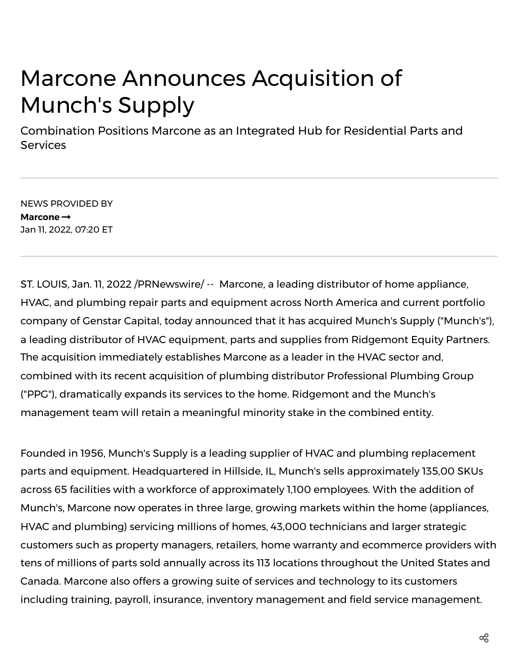# Marcone Announces Acquisition of Munch's Supply

Combination Positions Marcone as an Integrated Hub for Residential Parts and **Services** 

NEWS PROVIDED BY **[Marcone](https://www.prnewswire.com/news/marcone/)** Jan 11, 2022, 07:20 ET

ST. LOUIS, Jan. 11, 2022 /PRNewswire/ -- Marcone, a leading distributor of home appliance, HVAC, and plumbing repair parts and equipment across North America and current portfolio company of Genstar Capital, today announced that it has acquired Munch's Supply ("Munch's"), a leading distributor of HVAC equipment, parts and supplies from Ridgemont Equity Partners. The acquisition immediately establishes Marcone as a leader in the HVAC sector and, combined with its recent acquisition of plumbing distributor Professional Plumbing Group ("PPG"), dramatically expands its services to the home. Ridgemont and the Munch's management team will retain a meaningful minority stake in the combined entity.

Founded in 1956, Munch's Supply is a leading supplier of HVAC and plumbing replacement parts and equipment. Headquartered in Hillside, IL, Munch's sells approximately 135,00 SKUs across 65 facilities with a workforce of approximately 1,100 employees. With the addition of Munch's, Marcone now operates in three large, growing markets within the home (appliances, HVAC and plumbing) servicing millions of homes, 43,000 technicians and larger strategic customers such as property managers, retailers, home warranty and ecommerce providers with tens of millions of parts sold annually across its 113 locations throughout the United States and Canada. Marcone also offers a growing suite of services and technology to its customers including training, payroll, insurance, inventory management and field service management.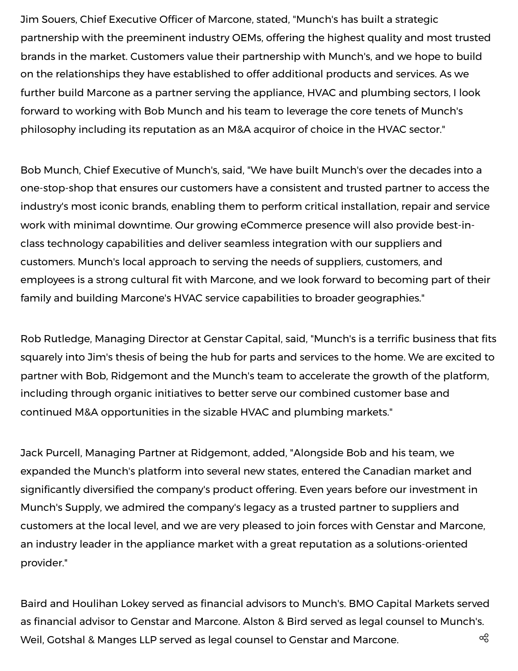Jim Souers, Chief Executive Officer of Marcone, stated, "Munch's has built a strategic partnership with the preeminent industry OEMs, offering the highest quality and most trusted brands in the market. Customers value their partnership with Munch's, and we hope to build on the relationships they have established to offer additional products and services. As we further build Marcone as a partner serving the appliance, HVAC and plumbing sectors, I look forward to working with Bob Munch and his team to leverage the core tenets of Munch's philosophy including its reputation as an M&A acquiror of choice in the HVAC sector."

Bob Munch, Chief Executive of Munch's, said, "We have built Munch's over the decades into a one-stop-shop that ensures our customers have a consistent and trusted partner to access the industry's most iconic brands, enabling them to perform critical installation, repair and service work with minimal downtime. Our growing eCommerce presence will also provide best-inclass technology capabilities and deliver seamless integration with our suppliers and customers. Munch's local approach to serving the needs of suppliers, customers, and employees is a strong cultural fit with Marcone, and we look forward to becoming part of their family and building Marcone's HVAC service capabilities to broader geographies."

Rob Rutledge, Managing Director at Genstar Capital, said, "Munch's is a terrific business that fits squarely into Jim's thesis of being the hub for parts and services to the home. We are excited to partner with Bob, Ridgemont and the Munch's team to accelerate the growth of the platform, including through organic initiatives to better serve our combined customer base and continued M&A opportunities in the sizable HVAC and plumbing markets."

Jack Purcell, Managing Partner at Ridgemont, added, "Alongside Bob and his team, we expanded the Munch's platform into several new states, entered the Canadian market and significantly diversified the company's product offering. Even years before our investment in Munch's Supply, we admired the company's legacy as a trusted partner to suppliers and customers at the local level, and we are very pleased to join forces with Genstar and Marcone, an industry leader in the appliance market with a great reputation as a solutions-oriented provider."

Baird and Houlihan Lokey served as financial advisors to Munch's. BMO Capital Markets served as financial advisor to Genstar and Marcone. Alston & Bird served as legal counsel to Munch's. Weil, Gotshal & Manges LLP served as legal counsel to Genstar and Marcone.  $\log$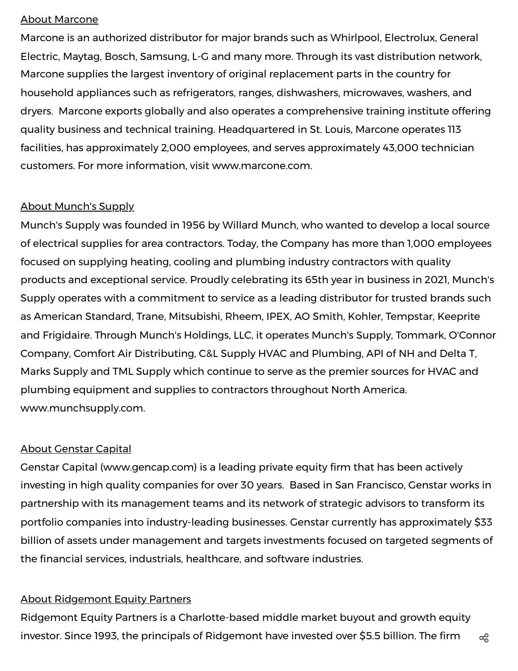#### About Marcone

Marcone is an authorized distributor for major brands such as Whirlpool, Electrolux, General Electric, Maytag, Bosch, Samsung, L-G and many more. Through its vast distribution network, Marcone supplies the largest inventory of original replacement parts in the country for household appliances such as refrigerators, ranges, dishwashers, microwaves, washers, and dryers. Marcone exports globally and also operates a comprehensive training institute offering quality business and technical training. Headquartered in St. Louis, Marcone operates 113 facilities, has approximately 2,000 employees, and serves approximately 43,000 technician customers. For more information, visit [www.marcone.com](https://c212.net/c/link/?t=0&l=en&o=3408885-1&h=3182961233&u=http%3A%2F%2Fwww.marcone.com%2F&a=www.marcone.com).

## About Munch's Supply

Munch's Supply was founded in 1956 by Willard Munch, who wanted to develop a local source of electrical supplies for area contractors. Today, the Company has more than 1,000 employees focused on supplying heating, cooling and plumbing industry contractors with quality products and exceptional service. Proudly celebrating its 65th year in business in 2021, Munch's Supply operates with a commitment to service as a leading distributor for trusted brands such as American Standard, Trane, Mitsubishi, Rheem, IPEX, AO Smith, Kohler, Tempstar, Keeprite and Frigidaire. Through Munch's Holdings, LLC, it operates Munch's Supply, Tommark, O'Connor Company, Comfort Air Distributing, C&L Supply HVAC and Plumbing, API of NH and Delta T, Marks Supply and TML Supply which continue to serve as the premier sources for HVAC and plumbing equipment and supplies to contractors throughout North America. [www.munchsupply.com.](https://c212.net/c/link/?t=0&l=en&o=3408885-1&h=1784288689&u=http%3A%2F%2Fwww.munchsupply.com%2F&a=www.munchsupply.com)

## About Genstar Capital

Genstar Capital ([www.gencap.com\)](https://c212.net/c/link/?t=0&l=en&o=3408885-1&h=795115490&u=http%3A%2F%2Fwww.gencap.com%2F&a=www.gencap.com) is a leading private equity firm that has been actively investing in high quality companies for over 30 years. Based in San Francisco, Genstar works in partnership with its management teams and its network of strategic advisors to transform its portfolio companies into industry-leading businesses. Genstar currently has approximately \$33 billion of assets under management and targets investments focused on targeted segments of the financial services, industrials, healthcare, and software industries.

## About Ridgemont Equity Partners

Ridgemont Equity Partners is a Charlotte-based middle market buyout and growth equity investor. Since 1993, the principals of Ridgemont have invested over \$5.5 billion. The firm  $\alpha_{\rm s}$